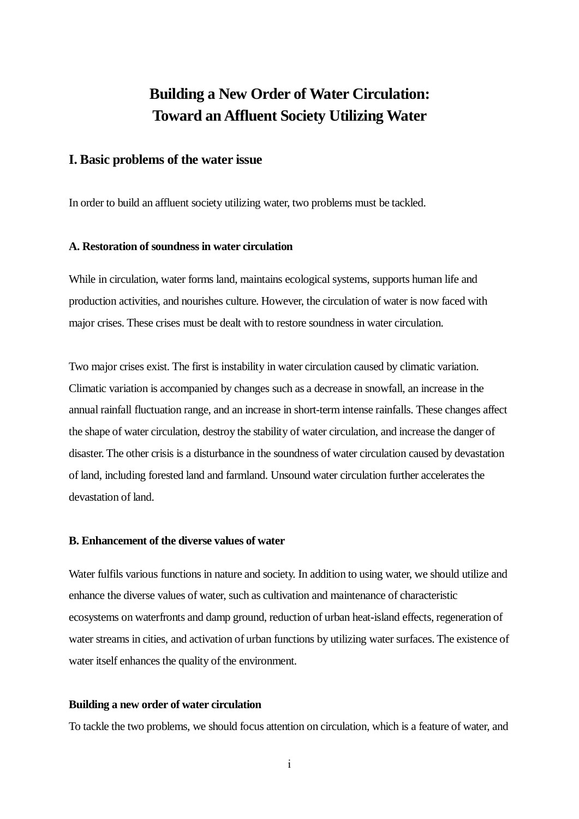# **Building a New Order of Water Circulation: Toward an Affluent Society Utilizing Water**

# **I. Basic problems of the water issue**

In order to build an affluent society utilizing water, two problems must be tackled.

# **A. Restoration of soundness in water circulation**

While in circulation, water forms land, maintains ecological systems, supports human life and production activities, and nourishes culture. However, the circulation of water is now faced with major crises. These crises must be dealt with to restore soundness in water circulation.

Two major crises exist. The first is instability in water circulation caused by climatic variation. Climatic variation is accompanied by changes such as a decrease in snowfall, an increase in the annual rainfall fluctuation range, and an increase in short-term intense rainfalls. These changes affect the shape of water circulation, destroy the stability of water circulation, and increase the danger of disaster. The other crisis is a disturbance in the soundness of water circulation caused by devastation of land, including forested land and farmland. Unsound water circulation further accelerates the devastation of land.

# **B. Enhancement of the diverse values of water**

Water fulfils various functions in nature and society. In addition to using water, we should utilize and enhance the diverse values of water, such as cultivation and maintenance of characteristic ecosystems on waterfronts and damp ground, reduction of urban heat-island effects, regeneration of water streams in cities, and activation of urban functions by utilizing water surfaces. The existence of water itself enhances the quality of the environment.

## **Building a new order of water circulation**

To tackle the two problems, we should focus attention on circulation, which is a feature of water, and

i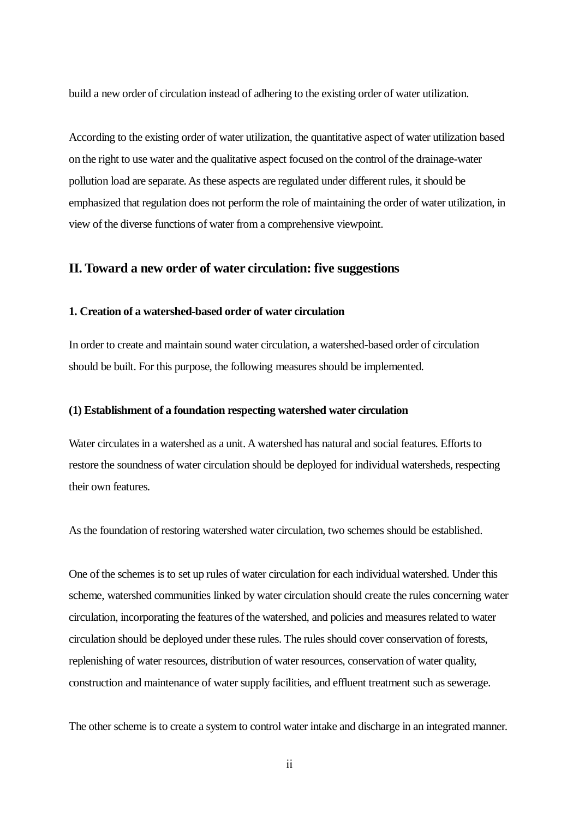build a new order of circulation instead of adhering to the existing order of water utilization.

According to the existing order of water utilization, the quantitative aspect of water utilization based on the right to use water and the qualitative aspect focused on the control of the drainage-water pollution load are separate. As these aspects are regulated under different rules, it should be emphasized that regulation does not perform the role of maintaining the order of water utilization, in view of the diverse functions of water from a comprehensive viewpoint.

# **II. Toward a new order of water circulation: five suggestions**

## **1. Creation of a watershed-based order of water circulation**

In order to create and maintain sound water circulation, a watershed-based order of circulation should be built. For this purpose, the following measures should be implemented.

#### **(1) Establishment of a foundation respecting watershed water circulation**

Water circulates in a watershed as a unit. A watershed has natural and social features. Efforts to restore the soundness of water circulation should be deployed for individual watersheds, respecting their own features.

As the foundation of restoring watershed water circulation, two schemes should be established.

One of the schemes is to set up rules of water circulation for each individual watershed. Under this scheme, watershed communities linked by water circulation should create the rules concerning water circulation, incorporating the features of the watershed, and policies and measures related to water circulation should be deployed under these rules. The rules should cover conservation of forests, replenishing of water resources, distribution of water resources, conservation of water quality, construction and maintenance of water supply facilities, and effluent treatment such as sewerage.

The other scheme is to create a system to control water intake and discharge in an integrated manner.

ii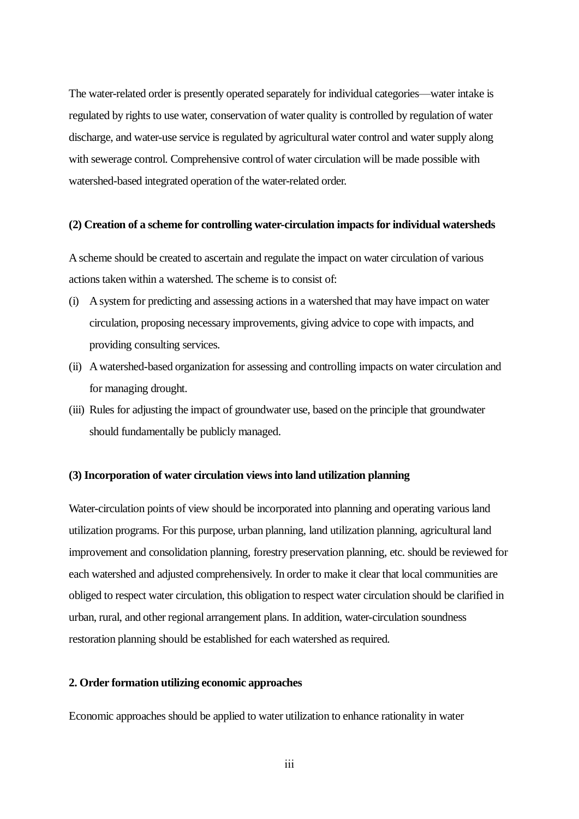The water-related order is presently operated separately for individual categories—water intake is regulated by rights to use water, conservation of water quality is controlled by regulation of water discharge, and water-use service is regulated by agricultural water control and water supply along with sewerage control. Comprehensive control of water circulation will be made possible with watershed-based integrated operation of the water-related order.

#### **(2) Creation of a scheme for controlling water-circulation impacts for individual watersheds**

A scheme should be created to ascertain and regulate the impact on water circulation of various actions taken within a watershed. The scheme is to consist of:

- (i) A system for predicting and assessing actions in a watershed that may have impact on water circulation, proposing necessary improvements, giving advice to cope with impacts, and providing consulting services.
- (ii) A watershed-based organization for assessing and controlling impacts on water circulation and for managing drought.
- (iii) Rules for adjusting the impact of groundwater use, based on the principle that groundwater should fundamentally be publicly managed.

#### **(3) Incorporation of water circulation views into land utilization planning**

Water-circulation points of view should be incorporated into planning and operating various land utilization programs. For this purpose, urban planning, land utilization planning, agricultural land improvement and consolidation planning, forestry preservation planning, etc. should be reviewed for each watershed and adjusted comprehensively. In order to make it clear that local communities are obliged to respect water circulation, this obligation to respect water circulation should be clarified in urban, rural, and other regional arrangement plans. In addition, water-circulation soundness restoration planning should be established for each watershed as required.

## **2. Order formation utilizing economic approaches**

Economic approaches should be applied to water utilization to enhance rationality in water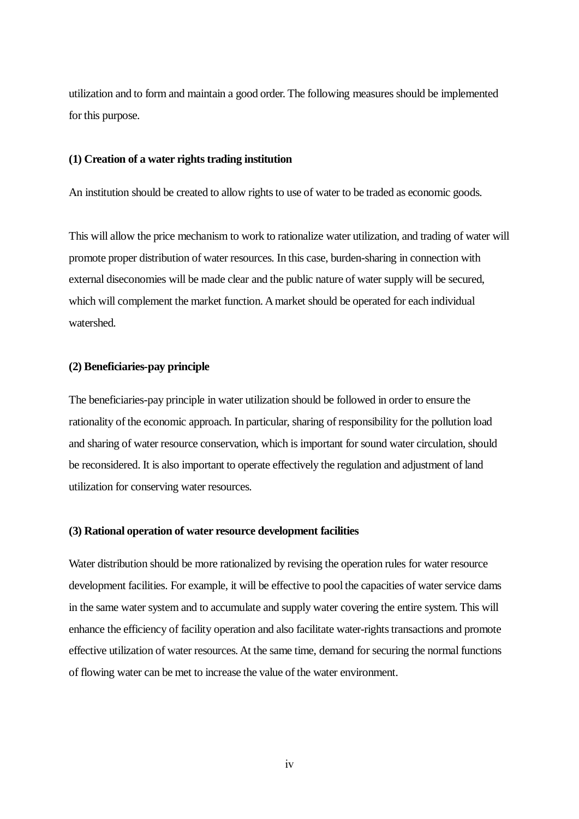utilization and to form and maintain a good order. The following measures should be implemented for this purpose.

#### **(1) Creation of a water rightstrading institution**

An institution should be created to allow rights to use of water to be traded as economic goods.

This will allow the price mechanism to work to rationalize water utilization, and trading of water will promote proper distribution of water resources. In this case, burden-sharing in connection with external diseconomies will be made clear and the public nature of water supply will be secured, which will complement the market function. Amarket should be operated for each individual watershed.

# **(2) Beneficiaries-pay principle**

The beneficiaries-pay principle in water utilization should be followed in order to ensure the rationality of the economic approach. In particular, sharing of responsibility for the pollution load and sharing of water resource conservation, which is important for sound water circulation, should be reconsidered. It is also important to operate effectively the regulation and adjustment of land utilization for conserving water resources.

#### **(3) Rational operation of water resource development facilities**

Water distribution should be more rationalized by revising the operation rules for water resource development facilities. For example, it will be effective to pool the capacities of water service dams in the same water system and to accumulate and supply water covering the entire system. This will enhance the efficiency of facility operation and also facilitate water-rights transactions and promote effective utilization of water resources. At the same time, demand for securing the normal functions of flowing water can be met to increase the value of the water environment.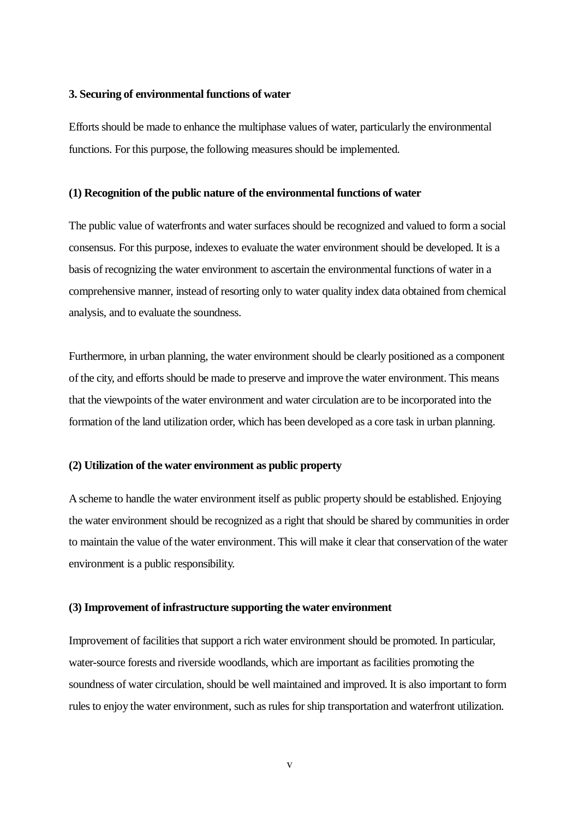#### **3. Securing of environmental functions of water**

Efforts should be made to enhance the multiphase values of water, particularly the environmental functions. For this purpose, the following measures should be implemented.

#### **(1) Recognition of the public nature of the environmental functions of water**

The public value of waterfronts and water surfaces should be recognized and valued to form a social consensus. For this purpose, indexes to evaluate the water environment should be developed. It is a basis of recognizing the water environment to ascertain the environmental functions of water in a comprehensive manner, instead of resorting only to water quality index data obtained from chemical analysis, and to evaluate the soundness.

Furthermore, in urban planning, the water environment should be clearly positioned as a component of the city, and efforts should be made to preserve and improve the water environment. This means that the viewpoints of the water environment and water circulation are to be incorporated into the formation of the land utilization order, which has been developed as a core task in urban planning.

# **(2) Utilization of the water environment as public property**

A scheme to handle the water environment itself as public property should be established. Enjoying the water environment should be recognized as a right that should be shared by communities in order to maintain the value of the water environment. This will make it clear that conservation of the water environment is a public responsibility.

#### **(3) Improvement of infrastructure supporting the water environment**

Improvement of facilities that support a rich water environment should be promoted. In particular, water-source forests and riverside woodlands, which are important as facilities promoting the soundness of water circulation, should be well maintained and improved. It is also important to form rules to enjoy the water environment, such as rules for ship transportation and waterfront utilization.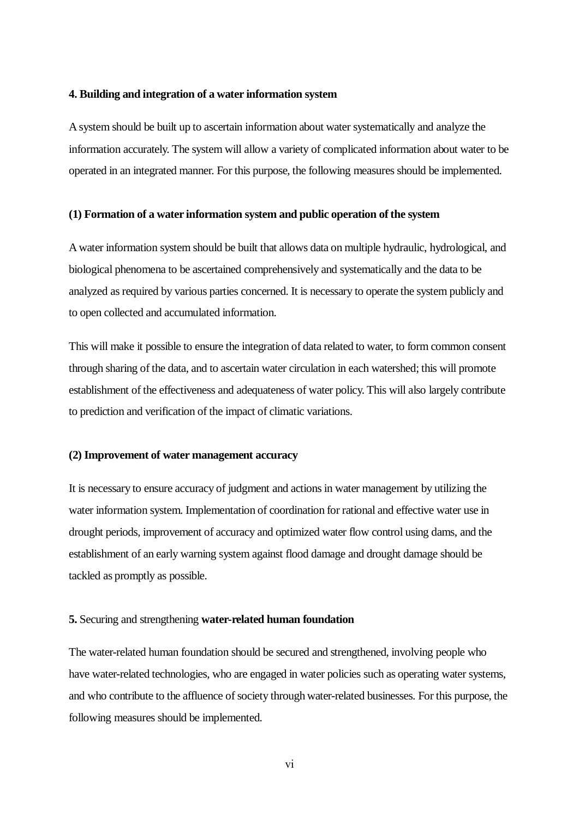#### **4. Building and integration of a water information system**

A system should be built up to ascertain information about water systematically and analyze the information accurately. The system will allow a variety of complicated information about water to be operated in an integrated manner. For this purpose, the following measures should be implemented.

#### **(1) Formation of a water information system and public operation of the system**

A water information system should be built that allows data on multiple hydraulic, hydrological, and biological phenomena to be ascertained comprehensively and systematically and the data to be analyzed as required by various parties concerned. It is necessary to operate the system publicly and to open collected and accumulated information.

This will make it possible to ensure the integration of data related to water, to form common consent through sharing of the data, and to ascertain water circulation in each watershed; this will promote establishment of the effectiveness and adequateness of water policy. This will also largely contribute to prediction and verification of the impact of climatic variations.

#### **(2) Improvement of water management accuracy**

It is necessary to ensure accuracy of judgment and actions in water management by utilizing the water information system. Implementation of coordination for rational and effective water use in drought periods, improvement of accuracy and optimized water flow control using dams, and the establishment of an early warning system against flood damage and drought damage should be tackled as promptly as possible.

#### **5.** Securing and strengthening **water-related human foundation**

The water-related human foundation should be secured and strengthened, involving people who have water-related technologies, who are engaged in water policies such as operating water systems, and who contribute to the affluence of society through water-related businesses. For this purpose, the following measures should be implemented.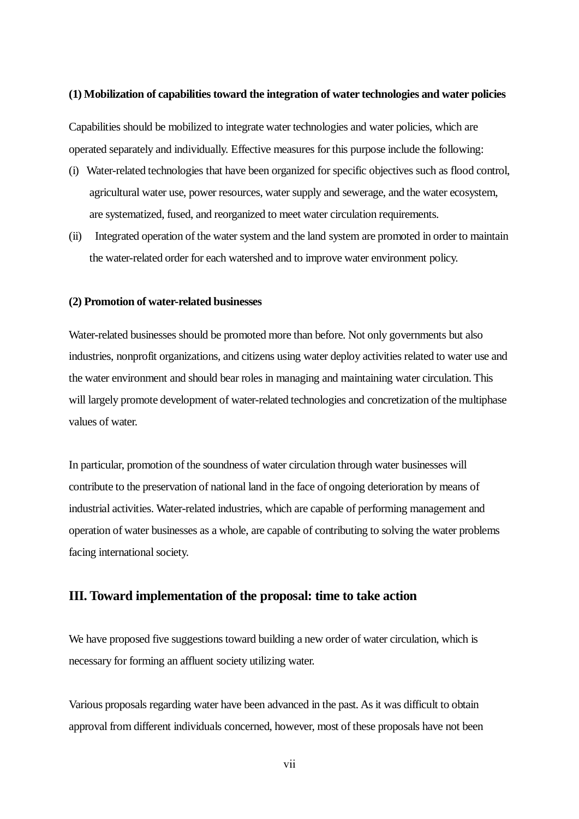#### **(1) Mobilization of capabilities toward the integration of water technologies and water policies**

Capabilities should be mobilized to integrate water technologies and water policies, which are operated separately and individually. Effective measures for this purpose include the following:

- (i) Water-related technologies that have been organized for specific objectives such as flood control, agricultural water use, power resources, water supply and sewerage, and the water ecosystem, are systematized, fused, and reorganized to meet water circulation requirements.
- (ii) Integrated operation of the water system and the land system are promoted in order to maintain the water-related order for each watershed and to improve water environment policy.

#### **(2) Promotion of water-related businesses**

Water-related businesses should be promoted more than before. Not only governments but also industries, nonprofit organizations, and citizens using water deploy activities related to water use and the water environment and should bear roles in managing and maintaining water circulation. This will largely promote development of water-related technologies and concretization of the multiphase values of water.

In particular, promotion of the soundness of water circulation through water businesses will contribute to the preservation of national land in the face of ongoing deterioration by means of industrial activities. Water-related industries, which are capable of performing management and operation of water businesses as a whole, are capable of contributing to solving the water problems facing international society.

# **III. Toward implementation of the proposal: time to take action**

We have proposed five suggestions toward building a new order of water circulation, which is necessary for forming an affluent society utilizing water.

Various proposals regarding water have been advanced in the past. As it was difficult to obtain approval from different individuals concerned, however, most of these proposals have not been